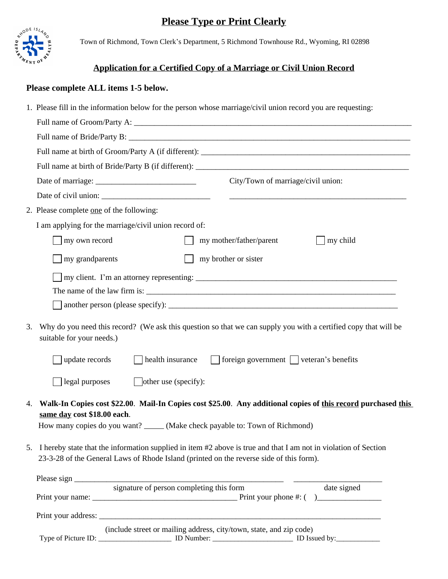# **Please Type or Print Clearly**



Town of Richmond, Town Clerk's Department, 5 Richmond Townhouse Rd., Wyoming, RI 02898

## **Application for a Certified Copy of a Marriage or Civil Union Record**

### **Please complete ALL items 1-5 below.**

|    | 1. Please fill in the information below for the person whose marriage/civil union record you are requesting:                                                                                                                  |  |  |  |  |
|----|-------------------------------------------------------------------------------------------------------------------------------------------------------------------------------------------------------------------------------|--|--|--|--|
|    |                                                                                                                                                                                                                               |  |  |  |  |
|    |                                                                                                                                                                                                                               |  |  |  |  |
|    |                                                                                                                                                                                                                               |  |  |  |  |
|    |                                                                                                                                                                                                                               |  |  |  |  |
|    | City/Town of marriage/civil union:                                                                                                                                                                                            |  |  |  |  |
|    |                                                                                                                                                                                                                               |  |  |  |  |
|    | 2. Please complete <u>one</u> of the following:                                                                                                                                                                               |  |  |  |  |
|    | I am applying for the marriage/civil union record of:                                                                                                                                                                         |  |  |  |  |
|    | my own record<br>my mother/father/parent<br>my child                                                                                                                                                                          |  |  |  |  |
|    | my brother or sister<br>my grandparents                                                                                                                                                                                       |  |  |  |  |
|    |                                                                                                                                                                                                                               |  |  |  |  |
|    |                                                                                                                                                                                                                               |  |  |  |  |
|    |                                                                                                                                                                                                                               |  |  |  |  |
| 3. | Why do you need this record? (We ask this question so that we can supply you with a certified copy that will be<br>suitable for your needs.)                                                                                  |  |  |  |  |
|    | update records<br>health insurance<br>$\Box$ foreign government $\Box$ veteran's benefits                                                                                                                                     |  |  |  |  |
|    | other use (specify):<br>legal purposes                                                                                                                                                                                        |  |  |  |  |
| 4. | Walk-In Copies cost \$22.00. Mail-In Copies cost \$25.00. Any additional copies of this record purchased this<br>same day cost \$18.00 each.<br>How many copies do you want? ______ (Make check payable to: Town of Richmond) |  |  |  |  |
|    | 5. I hereby state that the information supplied in item #2 above is true and that I am not in violation of Section<br>23-3-28 of the General Laws of Rhode Island (printed on the reverse side of this form).                 |  |  |  |  |
|    | Please sign signature of person completing this form<br>date signed                                                                                                                                                           |  |  |  |  |
|    | (include street or mailing address, city/town, state, and zip code)                                                                                                                                                           |  |  |  |  |
|    |                                                                                                                                                                                                                               |  |  |  |  |